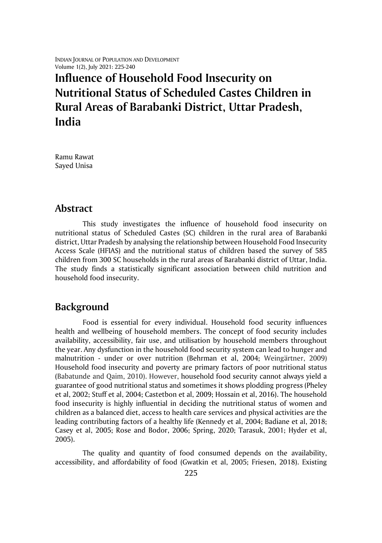INDIAN JOURNAL OF POPULATION AND DEVELOPMENT Volume 1(2), July 2021: 225-240

# **Influence of Household Food Insecurity on Nutritional Status of Scheduled Castes Children in Rural Areas of Barabanki District, Uttar Pradesh, India**

Ramu Rawat Sayed Unisa

### **Abstract**

This study investigates the influence of household food insecurity on nutritional status of Scheduled Castes (SC) children in the rural area of Barabanki district, Uttar Pradesh by analysing the relationship between Household Food Insecurity Access Scale (HFIAS) and the nutritional status of children based the survey of 585 children from 300 SC households in the rural areas of Barabanki district of Uttar, India. The study finds a statistically significant association between child nutrition and household food insecurity.

# **Background**

Food is essential for every individual. Household food security influences health and wellbeing of household members. The concept of food security includes availability, accessibility, fair use, and utilisation by household members throughout the year. Any dysfunction in the household food security system can lead to hunger and malnutrition - under or over nutrition (Behrman et al, 2004; Weingärtner, 2009) Household food insecurity and poverty are primary factors of poor nutritional status (Babatunde and Qaim, 2010). However, household food security cannot always yield a guarantee of good nutritional status and sometimes it shows plodding progress (Pheley et al, 2002; Stuff et al, 2004; Castetbon et al, 2009; Hossain et al, 2016). The household food insecurity is highly influential in deciding the nutritional status of women and children as a balanced diet, access to health care services and physical activities are the leading contributing factors of a healthy life (Kennedy et al, 2004; Badiane et al, 2018; Casey et al, 2005; Rose and Bodor, 2006; Spring, 2020; Tarasuk, 2001; Hyder et al, 2005).

The quality and quantity of food consumed depends on the availability, accessibility, and affordability of food (Gwatkin et al, 2005; Friesen, 2018). Existing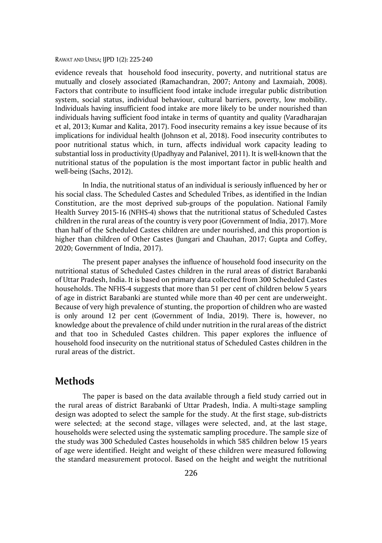evidence reveals that household food insecurity, poverty, and nutritional status are mutually and closely associated (Ramachandran, 2007; Antony and Laxmaiah, 2008). Factors that contribute to insufficient food intake include irregular public distribution system, social status, individual behaviour, cultural barriers, poverty, low mobility. Individuals having insufficient food intake are more likely to be under nourished than individuals having sufficient food intake in terms of quantity and quality (Varadharajan et al, 2013; Kumar and Kalita, 2017). Food insecurity remains a key issue because of its implications for individual health (Johnson et al, 2018). Food insecurity contributes to poor nutritional status which, in turn, affects individual work capacity leading to substantial loss in productivity (Upadhyay and Palanivel, 2011). It is well-known that the nutritional status of the population is the most important factor in public health and well-being (Sachs, 2012).

In India, the nutritional status of an individual is seriously influenced by her or his social class. The Scheduled Castes and Scheduled Tribes, as identified in the Indian Constitution, are the most deprived sub-groups of the population. National Family Health Survey 2015-16 (NFHS-4) shows that the nutritional status of Scheduled Castes children in the rural areas of the country is very poor (Government of India, 2017). More than half of the Scheduled Castes children are under nourished, and this proportion is higher than children of Other Castes (Jungari and Chauhan, 2017; Gupta and Coffey, 2020; Government of India, 2017).

The present paper analyses the influence of household food insecurity on the nutritional status of Scheduled Castes children in the rural areas of district Barabanki of Uttar Pradesh, India. It is based on primary data collected from 300 Scheduled Castes households. The NFHS-4 suggests that more than 51 per cent of children below 5 years of age in district Barabanki are stunted while more than 40 per cent are underweight. Because of very high prevalence of stunting, the proportion of children who are wasted is only around 12 per cent (Government of India, 2019). There is, however, no knowledge about the prevalence of child under nutrition in the rural areas of the district and that too in Scheduled Castes children. This paper explores the influence of household food insecurity on the nutritional status of Scheduled Castes children in the rural areas of the district.

## **Methods**

The paper is based on the data available through a field study carried out in the rural areas of district Barabanki of Uttar Pradesh, India. A multi-stage sampling design was adopted to select the sample for the study. At the first stage, sub-districts were selected; at the second stage, villages were selected, and, at the last stage, households were selected using the systematic sampling procedure. The sample size of the study was 300 Scheduled Castes households in which 585 children below 15 years of age were identified. Height and weight of these children were measured following the standard measurement protocol. Based on the height and weight the nutritional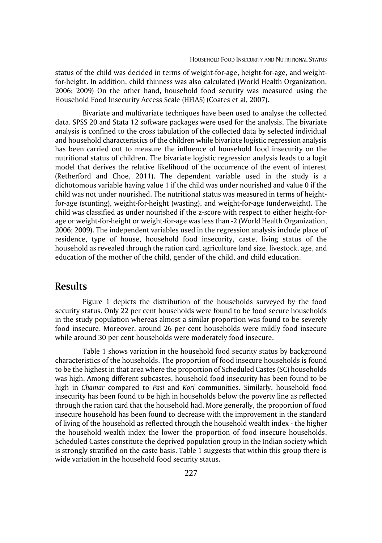status of the child was decided in terms of weight-for-age, height-for-age, and weightfor-height. In addition, child thinness was also calculated (World Health Organization, 2006; 2009) On the other hand, household food security was measured using the Household Food Insecurity Access Scale (HFIAS) (Coates et al, 2007).

Bivariate and multivariate techniques have been used to analyse the collected data. SPSS 20 and Stata 12 software packages were used for the analysis. The bivariate analysis is confined to the cross tabulation of the collected data by selected individual and household characteristics of the children while bivariate logistic regression analysis has been carried out to measure the influence of household food insecurity on the nutritional status of children. The bivariate logistic regression analysis leads to a logit model that derives the relative likelihood of the occurrence of the event of interest (Retherford and Choe, 2011). The dependent variable used in the study is a dichotomous variable having value 1 if the child was under nourished and value 0 if the child was not under nourished. The nutritional status was measured in terms of heightfor-age (stunting), weight-for-height (wasting), and weight-for-age (underweight). The child was classified as under nourished if the z-score with respect to either height-forage or weight-for-height or weight-for-age was less than -2 (World Health Organization, 2006; 2009). The independent variables used in the regression analysis include place of residence, type of house, household food insecurity, caste, living status of the household as revealed through the ration card, agriculture land size, livestock, age, and education of the mother of the child, gender of the child, and child education.

### **Results**

Figure 1 depicts the distribution of the households surveyed by the food security status. Only 22 per cent households were found to be food secure households in the study population whereas almost a similar proportion was found to be severely food insecure. Moreover, around 26 per cent households were mildly food insecure while around 30 per cent households were moderately food insecure.

Table 1 shows variation in the household food security status by background characteristics of the households. The proportion of food insecure households is found to be the highest in that area where the proportion of Scheduled Castes (SC) households was high. Among different subcastes, household food insecurity has been found to be high in *Chamar* compared to *Pasi* and *Kori* communities. Similarly, household food insecurity has been found to be high in households below the poverty line as reflected through the ration card that the household had. More generally, the proportion of food insecure household has been found to decrease with the improvement in the standard of living of the household as reflected through the household wealth index - the higher the household wealth index the lower the proportion of food insecure households. Scheduled Castes constitute the deprived population group in the Indian society which is strongly stratified on the caste basis. Table 1 suggests that within this group there is wide variation in the household food security status.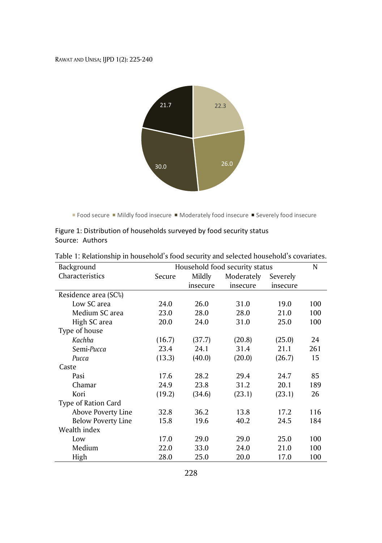

Food secure  $\blacksquare$  Mildly food insecure  $\blacksquare$  Moderately food insecure  $\blacksquare$  Severely food insecure

|                 | Figure 1: Distribution of households surveyed by food security status |  |  |
|-----------------|-----------------------------------------------------------------------|--|--|
| Source: Authors |                                                                       |  |  |

| Background                |        | Household food security status |            |          | N   |
|---------------------------|--------|--------------------------------|------------|----------|-----|
| Characteristics           | Secure | Mildly                         | Moderately | Severely |     |
|                           |        | insecure                       | insecure   | insecure |     |
| Residence area (SC%)      |        |                                |            |          |     |
| Low SC area               | 24.0   | 26.0                           | 31.0       | 19.0     | 100 |
| Medium SC area            | 23.0   | 28.0                           | 28.0       | 21.0     | 100 |
| High SC area              | 20.0   | 24.0                           | 31.0       | 25.0     | 100 |
| Type of house             |        |                                |            |          |     |
| Kachha                    | (16.7) | (37.7)                         | (20.8)     | (25.0)   | 24  |
| Semi-Pucca                | 23.4   | 24.1                           | 31.4       | 21.1     | 261 |
| Pucca                     | (13.3) | (40.0)                         | (20.0)     | (26.7)   | 15  |
| Caste                     |        |                                |            |          |     |
| Pasi                      | 17.6   | 28.2                           | 29.4       | 24.7     | 85  |
| Chamar                    | 24.9   | 23.8                           | 31.2       | 20.1     | 189 |
| Kori                      | (19.2) | (34.6)                         | (23.1)     | (23.1)   | 26  |
| Type of Ration Card       |        |                                |            |          |     |
| Above Poverty Line        | 32.8   | 36.2                           | 13.8       | 17.2     | 116 |
| <b>Below Poverty Line</b> | 15.8   | 19.6                           | 40.2       | 24.5     | 184 |
| Wealth index              |        |                                |            |          |     |
| Low                       | 17.0   | 29.0                           | 29.0       | 25.0     | 100 |
| Medium                    | 22.0   | 33.0                           | 24.0       | 21.0     | 100 |
| High                      | 28.0   | 25.0                           | 20.0       | 17.0     | 100 |

| Table 1: Relationship in household's food security and selected household's covariates. |  |
|-----------------------------------------------------------------------------------------|--|
|-----------------------------------------------------------------------------------------|--|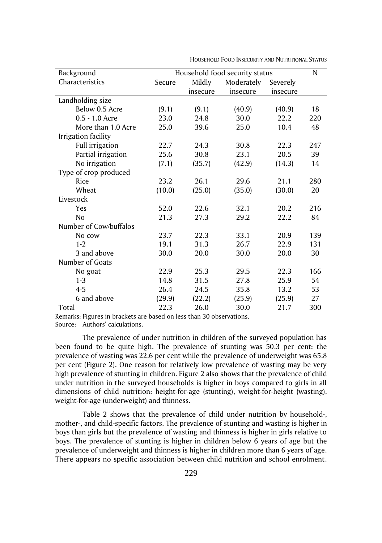| Background             | Household food security status |          |            | N        |     |
|------------------------|--------------------------------|----------|------------|----------|-----|
| Characteristics        | Secure                         | Mildly   | Moderately | Severely |     |
|                        |                                | insecure | insecure   | insecure |     |
| Landholding size       |                                |          |            |          |     |
| Below 0.5 Acre         | (9.1)                          | (9.1)    | (40.9)     | (40.9)   | 18  |
| $0.5 - 1.0$ Acre       | 23.0                           | 24.8     | 30.0       | 22.2     | 220 |
| More than 1.0 Acre     | 25.0                           | 39.6     | 25.0       | 10.4     | 48  |
| Irrigation facility    |                                |          |            |          |     |
| Full irrigation        | 22.7                           | 24.3     | 30.8       | 22.3     | 247 |
| Partial irrigation     | 25.6                           | 30.8     | 23.1       | 20.5     | 39  |
| No irrigation          | (7.1)                          | (35.7)   | (42.9)     | (14.3)   | 14  |
| Type of crop produced  |                                |          |            |          |     |
| Rice                   | 23.2                           | 26.1     | 29.6       | 21.1     | 280 |
| Wheat                  | (10.0)                         | (25.0)   | (35.0)     | (30.0)   | 20  |
| Livestock              |                                |          |            |          |     |
| Yes                    | 52.0                           | 22.6     | 32.1       | 20.2     | 216 |
| N <sub>o</sub>         | 21.3                           | 27.3     | 29.2       | 22.2     | 84  |
| Number of Cow/buffalos |                                |          |            |          |     |
| No cow                 | 23.7                           | 22.3     | 33.1       | 20.9     | 139 |
| $1 - 2$                | 19.1                           | 31.3     | 26.7       | 22.9     | 131 |
| 3 and above            | 30.0                           | 20.0     | 30.0       | 20.0     | 30  |
| Number of Goats        |                                |          |            |          |     |
| No goat                | 22.9                           | 25.3     | 29.5       | 22.3     | 166 |
| $1 - 3$                | 14.8                           | 31.5     | 27.8       | 25.9     | 54  |
| $4 - 5$                | 26.4                           | 24.5     | 35.8       | 13.2     | 53  |
| 6 and above            | (29.9)                         | (22.2)   | (25.9)     | (25.9)   | 27  |
| Total                  | 22.3                           | 26.0     | 30.0       | 21.7     | 300 |

HOUSEHOLD FOOD INSECURITY AND NUTRITIONAL STATUS

Remarks: Figures in brackets are based on less than 30 observations. Source: Authors' calculations.

The prevalence of under nutrition in children of the surveyed population has been found to be quite high. The prevalence of stunting was 50.3 per cent; the prevalence of wasting was 22.6 per cent while the prevalence of underweight was 65.8 per cent (Figure 2). One reason for relatively low prevalence of wasting may be very high prevalence of stunting in children. Figure 2 also shows that the prevalence of child under nutrition in the surveyed households is higher in boys compared to girls in all dimensions of child nutrition: height-for-age (stunting), weight-for-height (wasting), weight-for-age (underweight) and thinness.

Table 2 shows that the prevalence of child under nutrition by household-, mother-, and child-specific factors. The prevalence of stunting and wasting is higher in boys than girls but the prevalence of wasting and thinness is higher in girls relative to boys. The prevalence of stunting is higher in children below 6 years of age but the prevalence of underweight and thinness is higher in children more than 6 years of age. There appears no specific association between child nutrition and school enrolment.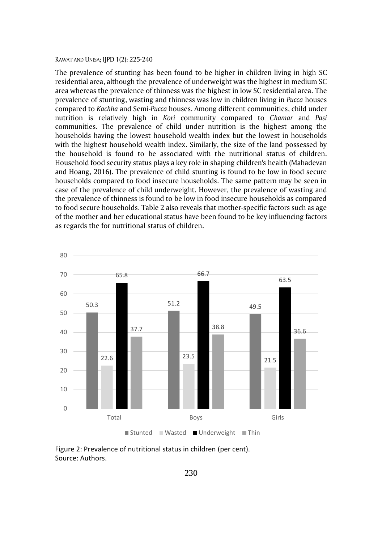The prevalence of stunting has been found to be higher in children living in high SC residential area, although the prevalence of underweight was the highest in medium SC area whereas the prevalence of thinness was the highest in low SC residential area. The prevalence of stunting, wasting and thinness was low in children living in *Pucca* houses compared to *Kachha* and Semi-*Pucca* houses. Among different communities, child under nutrition is relatively high in *Kori* community compared to *Chamar* and *Pasi* communities. The prevalence of child under nutrition is the highest among the households having the lowest household wealth index but the lowest in households with the highest household wealth index. Similarly, the size of the land possessed by the household is found to be associated with the nutritional status of children. Household food security status plays a key role in shaping children's health (Mahadevan and Hoang, 2016). The prevalence of child stunting is found to be low in food secure households compared to food insecure households. The same pattern may be seen in case of the prevalence of child underweight. However, the prevalence of wasting and the prevalence of thinness is found to be low in food insecure households as compared to food secure households. Table 2 also reveals that mother-specific factors such as age of the mother and her educational status have been found to be key influencing factors as regards the for nutritional status of children.



Figure 2: Prevalence of nutritional status in children (per cent). Source: Authors.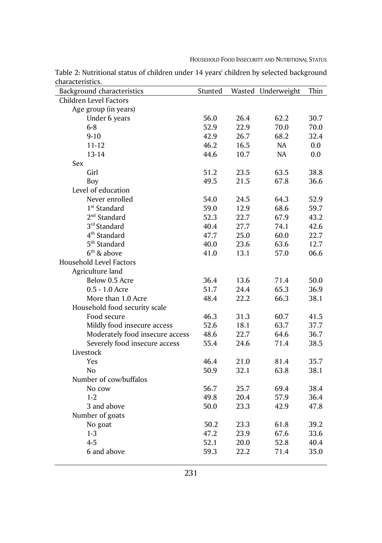| Background characteristics      | Stunted | Wasted | Underweight | Thin |
|---------------------------------|---------|--------|-------------|------|
| Children Level Factors          |         |        |             |      |
| Age group (in years)            |         |        |             |      |
| Under 6 years                   | 56.0    | 26.4   | 62.2        | 30.7 |
| $6 - 8$                         | 52.9    | 22.9   | 70.0        | 70.0 |
| $9 - 10$                        | 42.9    | 26.7   | 68.2        | 32.4 |
| $11 - 12$                       | 46.2    | 16.5   | NA          | 0.0  |
| $13 - 14$                       | 44.6    | 10.7   | NA          | 0.0  |
| Sex                             |         |        |             |      |
| Girl                            | 51.2    | 23.5   | 63.5        | 38.8 |
| Boy                             | 49.5    | 21.5   | 67.8        | 36.6 |
| Level of education              |         |        |             |      |
| Never enrolled                  | 54.0    | 24.5   | 64.3        | 52.9 |
| 1 <sup>st</sup> Standard        | 59.0    | 12.9   | 68.6        | 59.7 |
| $2nd$ Standard                  | 52.3    | 22.7   | 67.9        | 43.2 |
| 3 <sup>rd</sup> Standard        | 40.4    | 27.7   | 74.1        | 42.6 |
| 4 <sup>th</sup> Standard        | 47.7    | 25.0   | 60.0        | 22.7 |
| 5 <sup>th</sup> Standard        | 40.0    | 23.6   | 63.6        | 12.7 |
| $6th$ & above                   | 41.0    | 13.1   | 57.0        | 06.6 |
| Household Level Factors         |         |        |             |      |
| Agriculture land                |         |        |             |      |
| Below 0.5 Acre                  | 36.4    | 13.6   | 71.4        | 50.0 |
| 0.5 - 1.0 Acre                  | 51.7    | 24.4   | 65.3        | 36.9 |
| More than 1.0 Acre              | 48.4    | 22.2   | 66.3        | 38.1 |
| Household food security scale   |         |        |             |      |
| Food secure                     | 46.3    | 31.3   | 60.7        | 41.5 |
| Mildly food insecure access     | 52.6    | 18.1   | 63.7        | 37.7 |
| Moderately food insecure access | 48.6    | 22.7   | 64.6        | 36.7 |
| Severely food insecure access   | 55.4    | 24.6   | 71.4        | 38.5 |
| Livestock                       |         |        |             |      |
| Yes                             | 46.4    | 21.0   | 81.4        | 35.7 |
| No                              | 50.9    | 32.1   | 63.8        | 38.1 |
| Number of cow/buffalos          |         |        |             |      |
| No cow                          | 56.7    | 25.7   | 69.4        | 38.4 |
| $1 - 2$                         | 49.8    | 20.4   | 57.9        | 36.4 |
| 3 and above                     | 50.0    | 23.3   | 42.9        | 47.8 |
| Number of goats                 |         |        |             |      |
| No goat                         | 50.2    | 23.3   | 61.8        | 39.2 |
| $1 - 3$                         | 47.2    | 23.9   | 67.6        | 33.6 |
| $4 - 5$                         | 52.1    | 20.0   | 52.8        | 40.4 |
| 6 and above                     | 59.3    | 22.2   | 71.4        | 35.0 |

Table 2: Nutritional status of children under 14 years' children by selected background characteristics.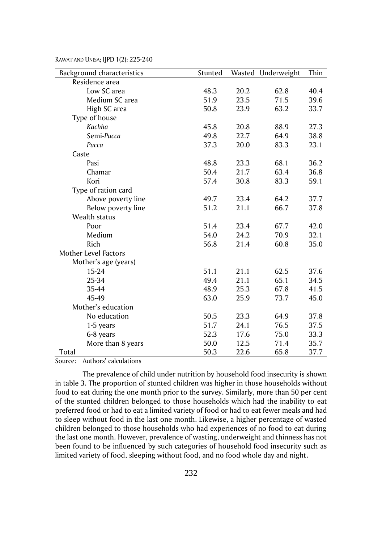| Background characteristics  | Stunted |      | Wasted Underweight | Thin |
|-----------------------------|---------|------|--------------------|------|
| Residence area              |         |      |                    |      |
| Low SC area                 | 48.3    | 20.2 | 62.8               | 40.4 |
| Medium SC area              | 51.9    | 23.5 | 71.5               | 39.6 |
| High SC area                | 50.8    | 23.9 | 63.2               | 33.7 |
| Type of house               |         |      |                    |      |
| Kachha                      | 45.8    | 20.8 | 88.9               | 27.3 |
| Semi-Pucca                  | 49.8    | 22.7 | 64.9               | 38.8 |
| Pucca                       | 37.3    | 20.0 | 83.3               | 23.1 |
| Caste                       |         |      |                    |      |
| Pasi                        | 48.8    | 23.3 | 68.1               | 36.2 |
| Chamar                      | 50.4    | 21.7 | 63.4               | 36.8 |
| Kori                        | 57.4    | 30.8 | 83.3               | 59.1 |
| Type of ration card         |         |      |                    |      |
| Above poverty line          | 49.7    | 23.4 | 64.2               | 37.7 |
| Below poverty line          | 51.2    | 21.1 | 66.7               | 37.8 |
| Wealth status               |         |      |                    |      |
| Poor                        | 51.4    | 23.4 | 67.7               | 42.0 |
| Medium                      | 54.0    | 24.2 | 70.9               | 32.1 |
| Rich                        | 56.8    | 21.4 | 60.8               | 35.0 |
| <b>Mother Level Factors</b> |         |      |                    |      |
| Mother's age (years)        |         |      |                    |      |
| $15 - 24$                   | 51.1    | 21.1 | 62.5               | 37.6 |
| 25-34                       | 49.4    | 21.1 | 65.1               | 34.5 |
| 35-44                       | 48.9    | 25.3 | 67.8               | 41.5 |
| 45-49                       | 63.0    | 25.9 | 73.7               | 45.0 |
| Mother's education          |         |      |                    |      |
| No education                | 50.5    | 23.3 | 64.9               | 37.8 |
| 1-5 years                   | 51.7    | 24.1 | 76.5               | 37.5 |
| 6-8 years                   | 52.3    | 17.6 | 75.0               | 33.3 |
| More than 8 years           | 50.0    | 12.5 | 71.4               | 35.7 |
| Total                       | 50.3    | 22.6 | 65.8               | 37.7 |

Source: Authors' calculations

The prevalence of child under nutrition by household food insecurity is shown in table 3. The proportion of stunted children was higher in those households without food to eat during the one month prior to the survey. Similarly, more than 50 per cent of the stunted children belonged to those households which had the inability to eat preferred food or had to eat a limited variety of food or had to eat fewer meals and had to sleep without food in the last one month. Likewise, a higher percentage of wasted children belonged to those households who had experiences of no food to eat during the last one month. However, prevalence of wasting, underweight and thinness has not been found to be influenced by such categories of household food insecurity such as limited variety of food, sleeping without food, and no food whole day and night.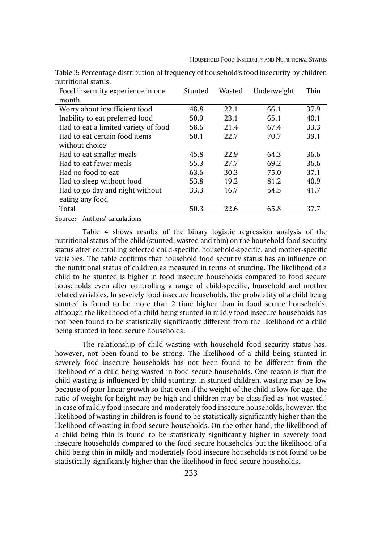| Food insecurity experience in one    | Stunted | Wasted | Underweight | Thin |
|--------------------------------------|---------|--------|-------------|------|
| month                                |         |        |             |      |
| Worry about insufficient food        | 48.8    | 22.1   | 66.1        | 37.9 |
| Inability to eat preferred food      | 50.9    | 23.1   | 65.1        | 40.1 |
| Had to eat a limited variety of food | 58.6    | 21.4   | 67.4        | 33.3 |
| Had to eat certain food items        | 50.1    | 22.7   | 70.7        | 39.1 |
| without choice                       |         |        |             |      |
| Had to eat smaller meals             | 45.8    | 22.9   | 64.3        | 36.6 |
| Had to eat fewer meals               | 55.3    | 27.7   | 69.2        | 36.6 |
| Had no food to eat                   | 63.6    | 30.3   | 75.0        | 37.1 |
| Had to sleep without food            | 53.8    | 19.2   | 81.2        | 40.9 |
| Had to go day and night without      | 33.3    | 16.7   | 54.5        | 41.7 |
| eating any food                      |         |        |             |      |
| Total                                | 50.3    | 22.6   | 65.8        | 37.7 |

Table 3: Percentage distribution of frequency of household's food insecurity by children nutritional status.

Source: Authors' calculations

Table 4 shows results of the binary logistic regression analysis of the nutritional status of the child (stunted, wasted and thin) on the household food security status after controlling selected child-specific, household-specific, and mother-specific variables. The table confirms that household food security status has an influence on the nutritional status of children as measured in terms of stunting. The likelihood of a child to be stunted is higher in food insecure households compared to food secure households even after controlling a range of child-specific, household and mother related variables. In severely food insecure households, the probability of a child being stunted is found to be more than 2 time higher than in food secure households, although the likelihood of a child being stunted in mildly food insecure households has not been found to be statistically significantly different from the likelihood of a child being stunted in food secure households.

The relationship of child wasting with household food security status has, however, not been found to be strong. The likelihood of a child being stunted in severely food insecure households has not been found to be different from the likelihood of a child being wasted in food secure households. One reason is that the child wasting is influenced by child stunting. In stunted children, wasting may be low because of poor linear growth so that even if the weight of the child is low-for-age, the ratio of weight for height may be high and children may be classified as 'not wasted.' In case of mildly food insecure and moderately food insecure households, however, the likelihood of wasting in children is found to be statistically significantly higher than the likelihood of wasting in food secure households. On the other hand, the likelihood of a child being thin is found to be statistically significantly higher in severely food insecure households compared to the food secure households but the likelihood of a child being thin in mildly and moderately food insecure households is not found to be statistically significantly higher than the likelihood in food secure households.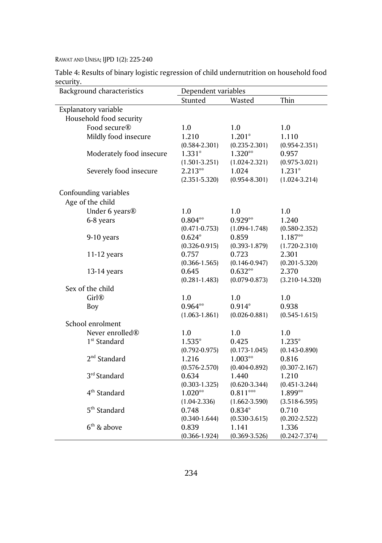Table 4: Results of binary logistic regression of child undernutrition on household food security.

| Background characteristics  | Dependent variables |                   |                    |
|-----------------------------|---------------------|-------------------|--------------------|
|                             | Stunted             | Wasted            | Thin               |
| Explanatory variable        |                     |                   |                    |
| Household food security     |                     |                   |                    |
| Food secure®                | 1.0                 | 1.0               | 1.0                |
| Mildly food insecure        | 1.210               | $1.201*$          | 1.110              |
|                             | $(0.584 - 2.301)$   | $(0.235 - 2.301)$ | $(0.954 - 2.351)$  |
| Moderately food insecure    | $1.331*$            | 1.320**           | 0.957              |
|                             | $(1.501 - 3.251)$   | $(1.024 - 2.321)$ | $(0.975 - 3.021)$  |
| Severely food insecure      | 2.213**             | 1.024             | $1.231*$           |
|                             | $(2.351 - 5.320)$   | $(0.954 - 8.301)$ | $(1.024 - 3.214)$  |
| Confounding variables       |                     |                   |                    |
| Age of the child            |                     |                   |                    |
| Under 6 years <sup>®</sup>  | 1.0                 | 1.0               | 1.0                |
| 6-8 years                   | $0.804**$           | $0.929**$         | 1.240              |
|                             | $(0.471 - 0.753)$   | $(1.094 - 1.748)$ | $(0.580 - 2.352)$  |
| 9-10 years                  | $0.624*$            | 0.859             | 1.187**            |
|                             | $(0.326 - 0.915)$   | $(0.393 - 1.879)$ | $(1.720 - 2.310)$  |
| $11-12$ years               | 0.757               | 0.723             | 2.301              |
|                             | $(0.366 - 1.565)$   | $(0.146 - 0.947)$ | $(0.201 - 5.320)$  |
| 13-14 years                 | 0.645               | $0.632**$         | 2.370              |
|                             | $(0.281 - 1.483)$   | $(0.079 - 0.873)$ | $(3.210 - 14.320)$ |
| Sex of the child            |                     |                   |                    |
| Girl®                       | 1.0                 | 1.0               | 1.0                |
| Boy                         | $0.964**$           | $0.914*$          | 0.938              |
|                             | $(1.063 - 1.861)$   | $(0.026 - 0.881)$ | $(0.545 - 1.615)$  |
| School enrolment            |                     |                   |                    |
| Never enrolled <sup>®</sup> | 1.0                 | 1.0               | 1.0                |
| 1 <sup>st</sup> Standard    | 1.535*              | 0.425             | 1.235*             |
|                             | $(0.792 - 0.975)$   | $(0.173 - 1.045)$ | $(0.143 - 0.890)$  |
| $2nd$ Standard              | 1.216               | $1.003**$         | 0.816              |
|                             | $(0.576 - 2.570)$   | $(0.404 - 0.892)$ | $(0.307 - 2.167)$  |
| 3 <sup>rd</sup> Standard    | 0.634               | 1.440             | 1.210              |
|                             | $(0.303 - 1.325)$   | $(0.620 - 3.344)$ | $(0.451 - 3.244)$  |
| 4 <sup>th</sup> Standard    | 1.020**             | $0.811***$        | 1.899**            |
|                             | $(1.04 - 2.336)$    | $(1.662 - 3.590)$ | $(3.518 - 6.595)$  |
| 5 <sup>th</sup> Standard    | 0.748               | $0.834*$          | 0.710              |
|                             | $(0.340 - 1.644)$   | $(0.530 - 3.615)$ | $(0.202 - 2.522)$  |
| $6th$ & above               | 0.839               | 1.141             | 1.336              |
|                             | $(0.366 - 1.924)$   | $(0.369 - 3.526)$ | $(0.242 - 7.374)$  |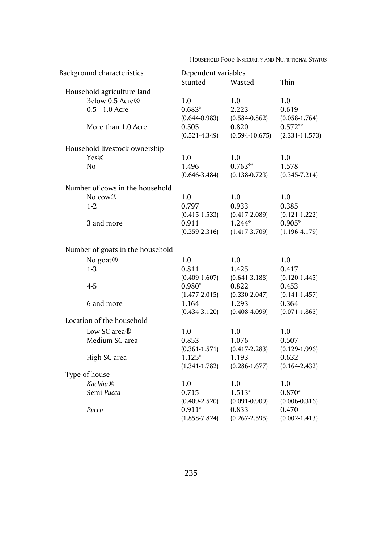| Background characteristics<br>Dependent variables |                   |                    |                    |
|---------------------------------------------------|-------------------|--------------------|--------------------|
|                                                   | Stunted           | Wasted             | Thin               |
| Household agriculture land                        |                   |                    |                    |
| Below 0.5 Acre <sup>®</sup>                       | 1.0               | 1.0                | 1.0                |
| 0.5 - 1.0 Acre                                    | $0.683*$          | 2.223              | 0.619              |
|                                                   | $(0.644 - 0.983)$ | $(0.584 - 0.862)$  | $(0.058 - 1.764)$  |
| More than 1.0 Acre                                | 0.505             | 0.820              | $0.572**$          |
|                                                   | $(0.521 - 4.349)$ | $(0.594 - 10.675)$ | $(2.331 - 11.573)$ |
| Household livestock ownership                     |                   |                    |                    |
| Yes@                                              | 1.0               | 1.0                | 1.0                |
| No                                                | 1.496             | $0.763**$          | 1.578              |
|                                                   | $(0.646 - 3.484)$ | $(0.138 - 0.723)$  | $(0.345 - 7.214)$  |
| Number of cows in the household                   |                   |                    |                    |
| No cow <sup>®</sup>                               | 1.0               | 1.0                | 1.0                |
| $1 - 2$                                           | 0.797             | 0.933              | 0.385              |
|                                                   | $(0.415 - 1.533)$ | $(0.417 - 2.089)$  | $(0.121 - 1.222)$  |
| 3 and more                                        | 0.911             | 1.244*             | $0.905*$           |
|                                                   | $(0.359 - 2.316)$ | $(1.417 - 3.709)$  | $(1.196 - 4.179)$  |
|                                                   |                   |                    |                    |
| Number of goats in the household                  |                   |                    |                    |
| No goat <sup>®</sup>                              | 1.0               | 1.0                | 1.0                |
| $1 - 3$                                           | 0.811             | 1.425              | 0.417              |
|                                                   | $(0.409 - 1.607)$ | $(0.641 - 3.188)$  | $(0.120 - 1.445)$  |
| $4 - 5$                                           | $0.980*$          | 0.822              | 0.453              |
|                                                   | $(1.477 - 2.015)$ | $(0.330 - 2.047)$  | $(0.141 - 1.457)$  |
| 6 and more                                        | 1.164             | 1.293              | 0.364              |
|                                                   | $(0.434 - 3.120)$ | $(0.408 - 4.099)$  | $(0.071 - 1.865)$  |
| Location of the household                         |                   |                    |                    |
| Low SC area $\mathbb R$                           | 1.0               | 1.0                | 1.0                |
| Medium SC area                                    | 0.853             | 1.076              | 0.507              |
|                                                   | $(0.361 - 1.571)$ | $(0.417 - 2.283)$  | $(0.129 - 1.996)$  |
| High SC area                                      | $1.125*$          | 1.193              | 0.632              |
|                                                   | $(1.341 - 1.782)$ | $(0.286 - 1.677)$  | $(0.164 - 2.432)$  |
| Type of house                                     |                   |                    |                    |
| <b>Kachha®</b>                                    | 1.0               | 1.0                | 1.0                |
| Semi-Pucca                                        | 0.715             | $1.513*$           | 0.870*             |
|                                                   | $(0.409 - 2.520)$ | $(0.091 - 0.909)$  | $(0.006 - 0.316)$  |
| Pucca                                             | $0.911*$          | 0.833              | 0.470              |
|                                                   | $(1.858 - 7.824)$ | $(0.267 - 2.595)$  | $(0.002 - 1.413)$  |

HOUSEHOLD FOOD INSECURITY AND NUTRITIONAL STATUS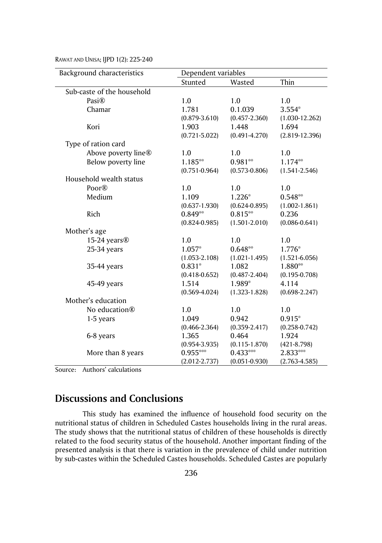| Background characteristics | Dependent variables |                   |                    |
|----------------------------|---------------------|-------------------|--------------------|
|                            | Stunted             | Wasted            | Thin               |
| Sub-caste of the household |                     |                   |                    |
| Pasi $\circledR$           | 1.0                 | 1.0               | 1.0                |
| Chamar                     | 1.781               | 0.1.039           | $3.554*$           |
|                            | $(0.879 - 3.610)$   | $(0.457 - 2.360)$ | $(1.030 - 12.262)$ |
| Kori                       | 1.903               | 1.448             | 1.694              |
|                            | $(0.721 - 5.022)$   | $(0.491 - 4.270)$ | $(2.819 - 12.396)$ |
| Type of ration card        |                     |                   |                    |
| Above poverty line®        | 1.0                 | 1.0               | 1.0                |
| Below poverty line         | 1.185**             | $0.981**$         | 1.174**            |
|                            | $(0.751 - 0.964)$   | $(0.573 - 0.806)$ | $(1.541 - 2.546)$  |
| Household wealth status    |                     |                   |                    |
| Poor®                      | 1.0                 | 1.0               | 1.0                |
| Medium                     | 1.109               | $1.226*$          | $0.548**$          |
|                            | $(0.637 - 1.930)$   | $(0.624 - 0.895)$ | $(1.002 - 1.861)$  |
| Rich                       | $0.849**$           | $0.815**$         | 0.236              |
|                            | $(0.824 - 0.985)$   | $(1.501 - 2.010)$ | $(0.086 - 0.641)$  |
| Mother's age               |                     |                   |                    |
| 15-24 years®               | 1.0                 | 1.0               | 1.0                |
| 25-34 years                | 1.057*              | $0.648**$         | 1.776*             |
|                            | $(1.053 - 2.108)$   | $(1.021 - 1.495)$ | $(1.521 - 6.056)$  |
| 35-44 years                | $0.831*$            | 1.082             | 1.880**            |
|                            | $(0.418 - 0.652)$   | $(0.487 - 2.404)$ | $(0.195 - 0.708)$  |
| 45-49 years                | 1.514               | 1.989*            | 4.114              |
|                            | $(0.569 - 4.024)$   | $(1.323 - 1.828)$ | $(0.698 - 2.247)$  |
| Mother's education         |                     |                   |                    |
| No education <sup>®</sup>  | 1.0                 | 1.0               | 1.0                |
| 1-5 years                  | 1.049               | 0.942             | $0.915*$           |
|                            | $(0.466 - 2.364)$   | $(0.359 - 2.417)$ | $(0.258 - 0.742)$  |
| 6-8 years                  | 1.365               | 0.464             | 1.924              |
|                            | $(0.954 - 3.935)$   | $(0.115 - 1.870)$ | $(421 - 8.798)$    |
| More than 8 years          | $0.955***$          | $0.433***$        | 2.833***           |
|                            | $(2.012 - 2.737)$   | $(0.051 - 0.930)$ | $(2.763 - 4.585)$  |

Source: Authors' calculations

# **Discussions and Conclusions**

This study has examined the influence of household food security on the nutritional status of children in Scheduled Castes households living in the rural areas. The study shows that the nutritional status of children of these households is directly related to the food security status of the household. Another important finding of the presented analysis is that there is variation in the prevalence of child under nutrition by sub-castes within the Scheduled Castes households. Scheduled Castes are popularly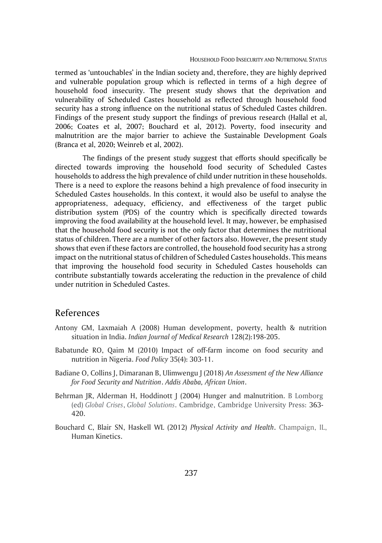termed as 'untouchables' in the Indian society and, therefore, they are highly deprived and vulnerable population group which is reflected in terms of a high degree of household food insecurity. The present study shows that the deprivation and vulnerability of Scheduled Castes household as reflected through household food security has a strong influence on the nutritional status of Scheduled Castes children. Findings of the present study support the findings of previous research (Hallal et al, 2006; Coates et al, 2007; Bouchard et al, 2012). Poverty, food insecurity and malnutrition are the major barrier to achieve the Sustainable Development Goals (Branca et al, 2020; Weinreb et al, 2002).

The findings of the present study suggest that efforts should specifically be directed towards improving the household food security of Scheduled Castes households to address the high prevalence of child under nutrition in these households. There is a need to explore the reasons behind a high prevalence of food insecurity in Scheduled Castes households. In this context, it would also be useful to analyse the appropriateness, adequacy, efficiency, and effectiveness of the target public distribution system (PDS) of the country which is specifically directed towards improving the food availability at the household level. It may, however, be emphasised that the household food security is not the only factor that determines the nutritional status of children. There are a number of other factors also. However, the present study shows that even if these factors are controlled, the household food security has a strong impact on the nutritional status of children of Scheduled Castes households. This means that improving the household food security in Scheduled Castes households can contribute substantially towards accelerating the reduction in the prevalence of child under nutrition in Scheduled Castes.

### References

- Antony GM, Laxmaiah A (2008) Human development, poverty, health & nutrition situation in India. *Indian Journal of Medical Research* 128(2):198-205.
- Babatunde RO, Qaim M (2010) Impact of off-farm income on food security and nutrition in Nigeria. *Food Policy* 35(4): 303-11.
- Badiane O, Collins J, Dimaranan B, Ulimwengu J (2018) *An Assessment of the New Alliance for Food Security and Nutrition*. *Addis Ababa, African Union*.
- Behrman JR, Alderman H, Hoddinott J (2004) Hunger and malnutrition. B Lomborg (ed) *Global Crises*, *Global Solutions*. Cambridge, Cambridge University Press: 363- 420.
- Bouchard C, Blair SN, Haskell WL (2012) *Physical Activity and Health*. Champaign, IL, Human Kinetics.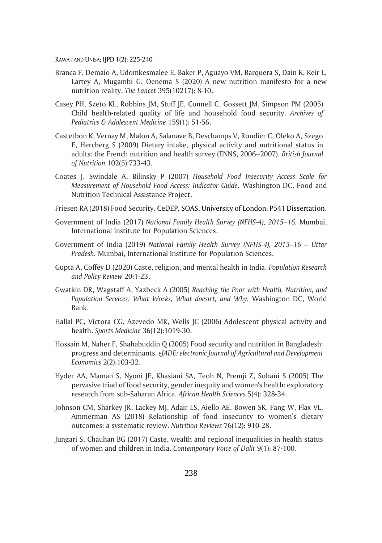- Branca F, Demaio A, Udomkesmalee E, Baker P, Aguayo VM, Barquera S, Dain K, Keir L, Lartey A, Mugambi G, Oenema S (2020) A new nutrition manifesto for a new nutrition reality. *The Lancet* 395(10217): 8-10.
- Casey PH, Szeto KL, Robbins JM, Stuff JE, Connell C, Gossett JM, Simpson PM (2005) Child health-related quality of life and household food security. *Archives of Pediatrics & Adolescent Medicine* 159(1): 51-56.
- Castetbon K, Vernay M, Malon A, Salanave B, Deschamps V, Roudier C, Oleko A, Szego E, Hercberg S (2009) Dietary intake, physical activity and nutritional status in adults: the French nutrition and health survey (ENNS, 2006–2007). *British Journal of Nutrition* 102(5):733-43.
- Coates J, Swindale A, Bilinsky P (2007) *Household Food Insecurity Access Scale for Measurement of Household Food Access: Indicator Guide.* Washington DC, Food and Nutrition Technical Assistance Project.
- Friesen RA (2018) Food Security. CeDEP, SOAS, University of London: P541 Dissertation.
- Government of India (2017) *National Family Health Survey (NFHS-4), 2015–16.* Mumbai, International Institute for Population Sciences.
- Government of India (2019) *National Family Health Survey (NFHS-4), 2015–16 – Uttar Pradesh.* Mumbai, International Institute for Population Sciences.
- Gupta A, Coffey D (2020) Caste, religion, and mental health in India. *Population Research and Policy Review* 20:1-23.
- Gwatkin DR, Wagstaff A, Yazbeck A (2005) *Reaching the Poor with Health, Nutrition, and Population Services: What Works, What doesn't, and Why.* Washington DC, World Bank.
- Hallal PC, Victora CG, Azevedo MR, Wells JC (2006) Adolescent physical activity and health. *Sports Medicine* 36(12):1019-30.
- Hossain M, Naher F, Shahabuddin Q (2005) Food security and nutrition in Bangladesh: progress and determinants. *eJADE: electronic Journal of Agricultural and Development Economics* 2(2):103-32.
- Hyder AA, Maman S, Nyoni JE, Khasiani SA, Teoh N, Premji Z, Sohani S (2005) The pervasive triad of food security, gender inequity and women's health: exploratory research from sub-Saharan Africa. *African Health Sciences* 5(4): 328-34.
- Johnson CM, Sharkey JR, Lackey MJ, Adair LS, Aiello AE, Bowen SK, Fang W, Flax VL, Ammerman AS (2018) Relationship of food insecurity to women's dietary outcomes: a systematic review. *Nutrition Reviews* 76(12): 910-28.
- Jungari S, Chauhan BG (2017) Caste, wealth and regional inequalities in health status of women and children in India. *Contemporary Voice of Dalit* 9(1): 87-100.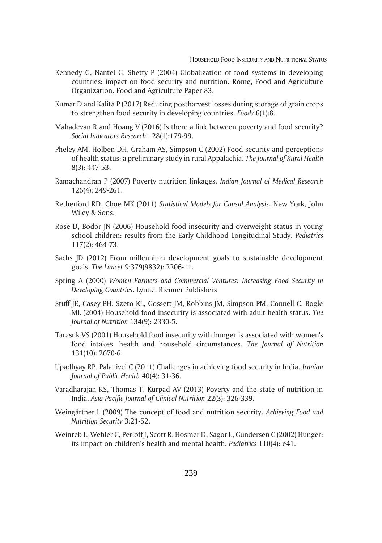- Kennedy G, Nantel G, Shetty P (2004) Globalization of food systems in developing countries: impact on food security and nutrition. Rome, Food and Agriculture Organization. Food and Agriculture Paper 83.
- Kumar D and Kalita P (2017) Reducing postharvest losses during storage of grain crops to strengthen food security in developing countries. *Foods* 6(1):8.
- Mahadevan R and Hoang V (2016) Is there a link between poverty and food security? *Social Indicators Research* 128(1):179-99.
- Pheley AM, Holben DH, Graham AS, Simpson C (2002) Food security and perceptions of health status: a preliminary study in rural Appalachia. *The Journal of Rural Health*  8(3): 447-53.
- Ramachandran P (2007) Poverty nutrition linkages. *Indian Journal of Medical Research* 126(4): 249-261.
- Retherford RD, Choe MK (2011) *Statistical Models for Causal Analysis*. New York, John Wiley & Sons.
- Rose D, Bodor JN (2006) Household food insecurity and overweight status in young school children: results from the Early Childhood Longitudinal Study. *Pediatrics*  117(2): 464-73.
- Sachs JD (2012) From millennium development goals to sustainable development goals. *The Lancet* 9;379(9832): 2206-11.
- Spring A (2000) *Women Farmers and Commercial Ventures: Increasing Food Security in Developing Countries*. Lynne, Rienner Publishers
- Stuff JE, Casey PH, Szeto KL, Gossett JM, Robbins JM, Simpson PM, Connell C, Bogle ML (2004) Household food insecurity is associated with adult health status. *The Journal of Nutrition* 134(9): 2330-5.
- Tarasuk VS (2001) Household food insecurity with hunger is associated with women's food intakes, health and household circumstances. *The Journal of Nutrition*  131(10): 2670-6.
- Upadhyay RP, Palanivel C (2011) Challenges in achieving food security in India. *Iranian Journal of Public Health* 40(4): 31-36.
- Varadharajan KS, Thomas T, Kurpad AV (2013) Poverty and the state of nutrition in India. *Asia Pacific Journal of Clinical Nutrition* 22(3): 326-339.
- Weingärtner L (2009) The concept of food and nutrition security. *Achieving Food and Nutrition Security* 3:21-52.
- Weinreb L, Wehler C, Perloff J, Scott R, Hosmer D, Sagor L, Gundersen C (2002) Hunger: its impact on children's health and mental health. *Pediatrics* 110(4): e41.